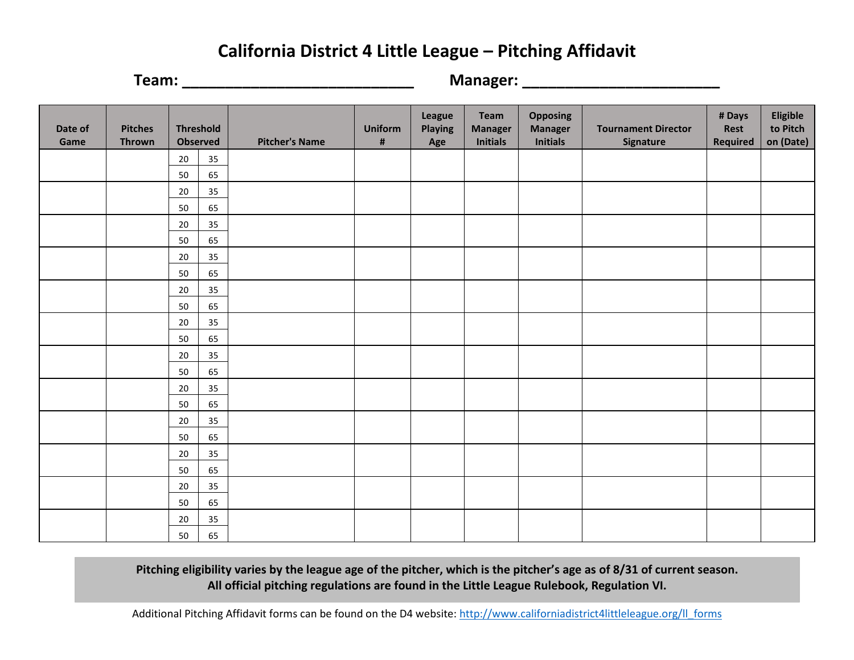# **California District 4 Little League – Pitching Affidavit**

**Team: \_\_\_\_\_\_\_\_\_\_\_\_\_\_\_\_\_\_\_\_\_\_\_\_\_\_\_ Manager: \_\_\_\_\_\_\_\_\_\_\_\_\_\_\_\_\_\_\_\_\_\_\_**

| Date of<br>Game | <b>Pitches</b><br><b>Thrown</b> | <b>Threshold</b><br><b>Observed</b> |    | <b>Pitcher's Name</b> | <b>Uniform</b><br>$\pmb{\sharp}$ | <b>League</b><br><b>Playing</b><br>Age | Team<br><b>Manager</b><br><b>Initials</b> | <b>Opposing</b><br><b>Manager</b><br><b>Initials</b> | <b>Tournament Director</b><br>Signature | # Days<br>Rest<br><b>Required</b> | Eligible<br>to Pitch<br>on (Date) |
|-----------------|---------------------------------|-------------------------------------|----|-----------------------|----------------------------------|----------------------------------------|-------------------------------------------|------------------------------------------------------|-----------------------------------------|-----------------------------------|-----------------------------------|
|                 |                                 | 20                                  | 35 |                       |                                  |                                        |                                           |                                                      |                                         |                                   |                                   |
|                 |                                 | 50                                  | 65 |                       |                                  |                                        |                                           |                                                      |                                         |                                   |                                   |
|                 |                                 | 20                                  | 35 |                       |                                  |                                        |                                           |                                                      |                                         |                                   |                                   |
|                 |                                 | 50                                  | 65 |                       |                                  |                                        |                                           |                                                      |                                         |                                   |                                   |
|                 |                                 | 20                                  | 35 |                       |                                  |                                        |                                           |                                                      |                                         |                                   |                                   |
|                 |                                 | 50                                  | 65 |                       |                                  |                                        |                                           |                                                      |                                         |                                   |                                   |
|                 |                                 | 20                                  | 35 |                       |                                  |                                        |                                           |                                                      |                                         |                                   |                                   |
|                 |                                 | 50                                  | 65 |                       |                                  |                                        |                                           |                                                      |                                         |                                   |                                   |
|                 |                                 | 20                                  | 35 |                       |                                  |                                        |                                           |                                                      |                                         |                                   |                                   |
|                 |                                 | 50                                  | 65 |                       |                                  |                                        |                                           |                                                      |                                         |                                   |                                   |
|                 |                                 | 20                                  | 35 |                       |                                  |                                        |                                           |                                                      |                                         |                                   |                                   |
|                 |                                 | 50                                  | 65 |                       |                                  |                                        |                                           |                                                      |                                         |                                   |                                   |
|                 |                                 | 20                                  | 35 |                       |                                  |                                        |                                           |                                                      |                                         |                                   |                                   |
|                 |                                 | 50                                  | 65 |                       |                                  |                                        |                                           |                                                      |                                         |                                   |                                   |
|                 |                                 | 20                                  | 35 |                       |                                  |                                        |                                           |                                                      |                                         |                                   |                                   |
|                 |                                 | 50                                  | 65 |                       |                                  |                                        |                                           |                                                      |                                         |                                   |                                   |
|                 |                                 | 20                                  | 35 |                       |                                  |                                        |                                           |                                                      |                                         |                                   |                                   |
|                 |                                 | 50                                  | 65 |                       |                                  |                                        |                                           |                                                      |                                         |                                   |                                   |
|                 |                                 | 20                                  | 35 |                       |                                  |                                        |                                           |                                                      |                                         |                                   |                                   |
|                 |                                 | 50                                  | 65 |                       |                                  |                                        |                                           |                                                      |                                         |                                   |                                   |
|                 |                                 | 20                                  | 35 |                       |                                  |                                        |                                           |                                                      |                                         |                                   |                                   |
|                 |                                 | 50                                  | 65 |                       |                                  |                                        |                                           |                                                      |                                         |                                   |                                   |
|                 |                                 | 20                                  | 35 |                       |                                  |                                        |                                           |                                                      |                                         |                                   |                                   |
|                 |                                 | 50                                  | 65 |                       |                                  |                                        |                                           |                                                      |                                         |                                   |                                   |

**Pitching eligibility varies by the league age of the pitcher, which is the pitcher's age as of 8/31 of current season. All official pitching regulations are found in the Little League Rulebook, Regulation VI.**

Additional Pitching Affidavit forms can be found on the D4 website: [http://www.californiadistrict4littleleague.org/ll\\_forms](http://www.californiadistrict4littleleague.org/ll_forms)